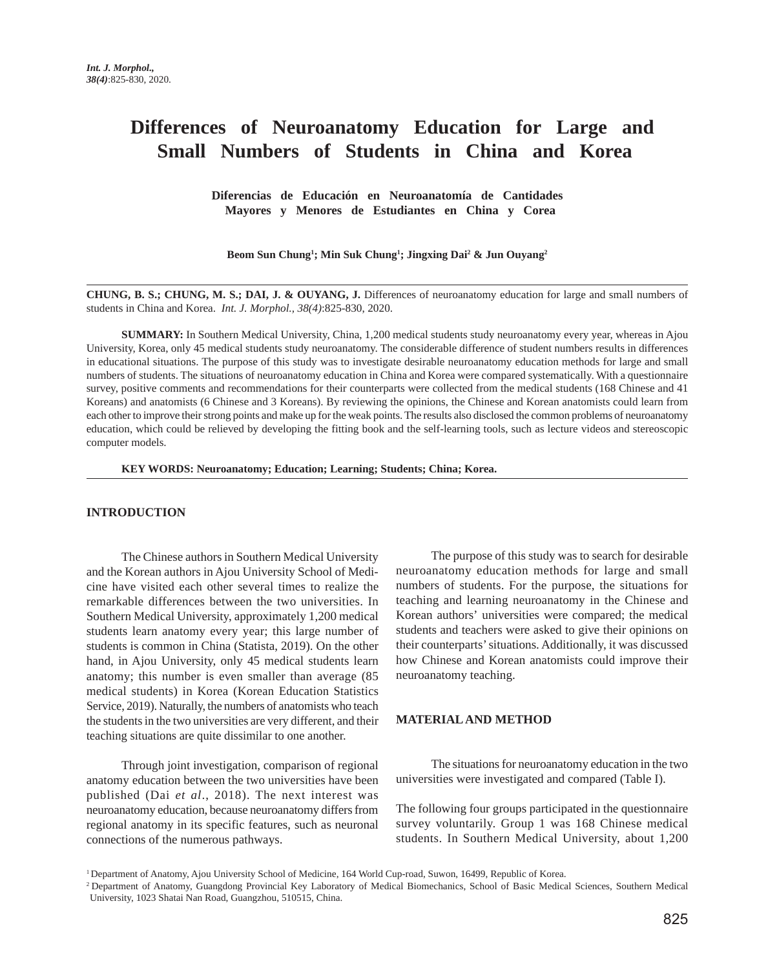# **Differences of Neuroanatomy Education for Large and Small Numbers of Students in China and Korea**

 **Diferencias de Educación en Neuroanatomía de Cantidades Mayores y Menores de Estudiantes en China y Corea**

**Beom Sun Chung1 ; Min Suk Chung1 ; Jingxing Dai2 & Jun Ouyang2**

**CHUNG, B. S.; CHUNG, M. S.; DAI, J. & OUYANG, J.** Differences of neuroanatomy education for large and small numbers of students in China and Korea. *Int. J. Morphol., 38(4)*:825-830, 2020.

**SUMMARY:** In Southern Medical University, China, 1,200 medical students study neuroanatomy every year, whereas in Ajou University, Korea, only 45 medical students study neuroanatomy. The considerable difference of student numbers results in differences in educational situations. The purpose of this study was to investigate desirable neuroanatomy education methods for large and small numbers of students. The situations of neuroanatomy education in China and Korea were compared systematically. With a questionnaire survey, positive comments and recommendations for their counterparts were collected from the medical students (168 Chinese and 41 Koreans) and anatomists (6 Chinese and 3 Koreans). By reviewing the opinions, the Chinese and Korean anatomists could learn from each other to improve their strong points and make up for the weak points. The results also disclosed the common problems of neuroanatomy education, which could be relieved by developing the fitting book and the self-learning tools, such as lecture videos and stereoscopic computer models.

**KEY WORDS: Neuroanatomy; Education; Learning; Students; China; Korea.**

#### **INTRODUCTION**

The Chinese authors in Southern Medical University and the Korean authors in Ajou University School of Medicine have visited each other several times to realize the remarkable differences between the two universities. In Southern Medical University, approximately 1,200 medical students learn anatomy every year; this large number of students is common in China (Statista, 2019). On the other hand, in Ajou University, only 45 medical students learn anatomy; this number is even smaller than average (85 medical students) in Korea (Korean Education Statistics Service, 2019). Naturally, the numbers of anatomists who teach the students in the two universities are very different, and their teaching situations are quite dissimilar to one another.

Through joint investigation, comparison of regional anatomy education between the two universities have been published (Dai *et al*., 2018). The next interest was neuroanatomy education, because neuroanatomy differs from regional anatomy in its specific features, such as neuronal connections of the numerous pathways.

The purpose of this study was to search for desirable neuroanatomy education methods for large and small numbers of students. For the purpose, the situations for teaching and learning neuroanatomy in the Chinese and Korean authors' universities were compared; the medical students and teachers were asked to give their opinions on their counterparts' situations. Additionally, it was discussed how Chinese and Korean anatomists could improve their neuroanatomy teaching.

## **MATERIAL AND METHOD**

The situations for neuroanatomy education in the two universities were investigated and compared (Table I).

The following four groups participated in the questionnaire survey voluntarily. Group 1 was 168 Chinese medical students. In Southern Medical University, about 1,200

1 Department of Anatomy, Ajou University School of Medicine, 164 World Cup-road, Suwon, 16499, Republic of Korea.

<sup>2</sup> Department of Anatomy, Guangdong Provincial Key Laboratory of Medical Biomechanics, School of Basic Medical Sciences, Southern Medical University, 1023 Shatai Nan Road, Guangzhou, 510515, China.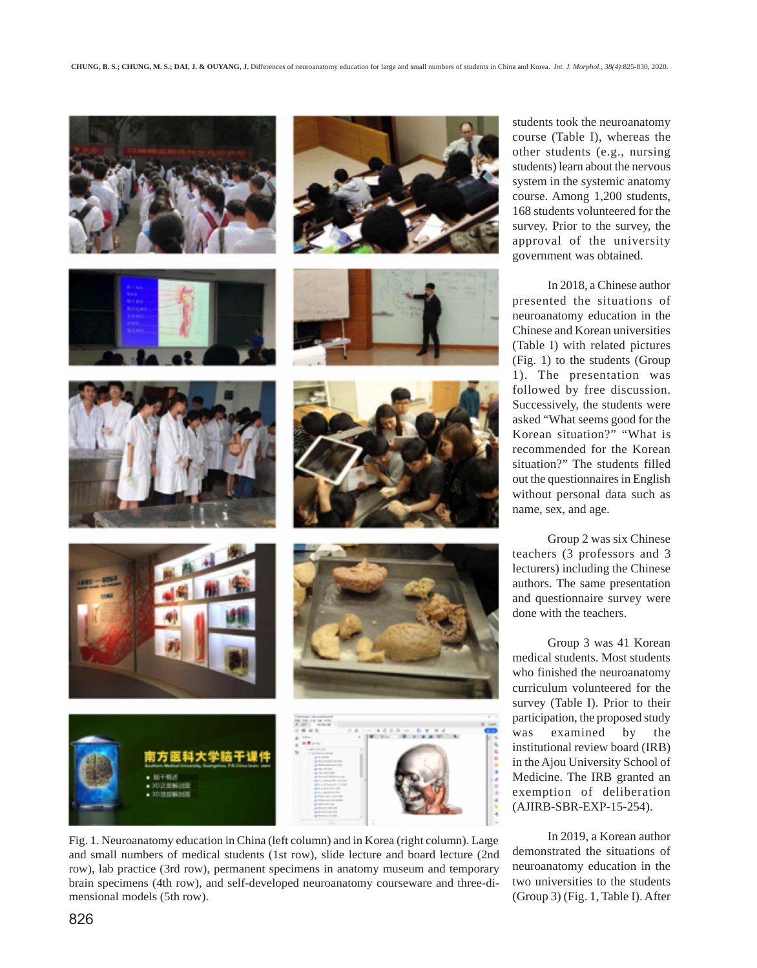

















Fig. 1. Neuroanatomy education in China (left column) and in Korea (right column). Large and small numbers of medical students (1st row), slide lecture and board lecture (2nd row), lab practice (3rd row), permanent specimens in anatomy museum and temporary brain specimens (4th row), and self-developed neuroanatomy courseware and three-dimensional models (5th row).

students took the neuroanatomy course (Table I), whereas the other students (e.g., nursing students) learn about the nervous system in the systemic anatomy course. Among 1,200 students, 168 students volunteered for the survey. Prior to the survey, the approval of the university government was obtained.

In 2018, a Chinese author presented the situations of neuroanatomy education in the Chinese and Korean universities (Table I) with related pictures (Fig. 1) to the students (Group 1). The presentation was followed by free discussion. Successively, the students were asked "What seems good for the Korean situation?" "What is recommended for the Korean situation?" The students filled out the questionnaires in English without personal data such as name, sex, and age.

Group 2 was six Chinese teachers (3 professors and 3 lecturers) including the Chinese authors. The same presentation and questionnaire survey were done with the teachers.

Group 3 was 41 Korean medical students. Most students who finished the neuroanatomy curriculum volunteered for the survey (Table I). Prior to their participation, the proposed study was examined by the institutional review board (IRB) in the Ajou University School of Medicine. The IRB granted an exemption of deliberation (AJIRB-SBR-EXP-15-254).

In 2019, a Korean author demonstrated the situations of neuroanatomy education in the two universities to the students (Group 3) (Fig. 1, Table I). After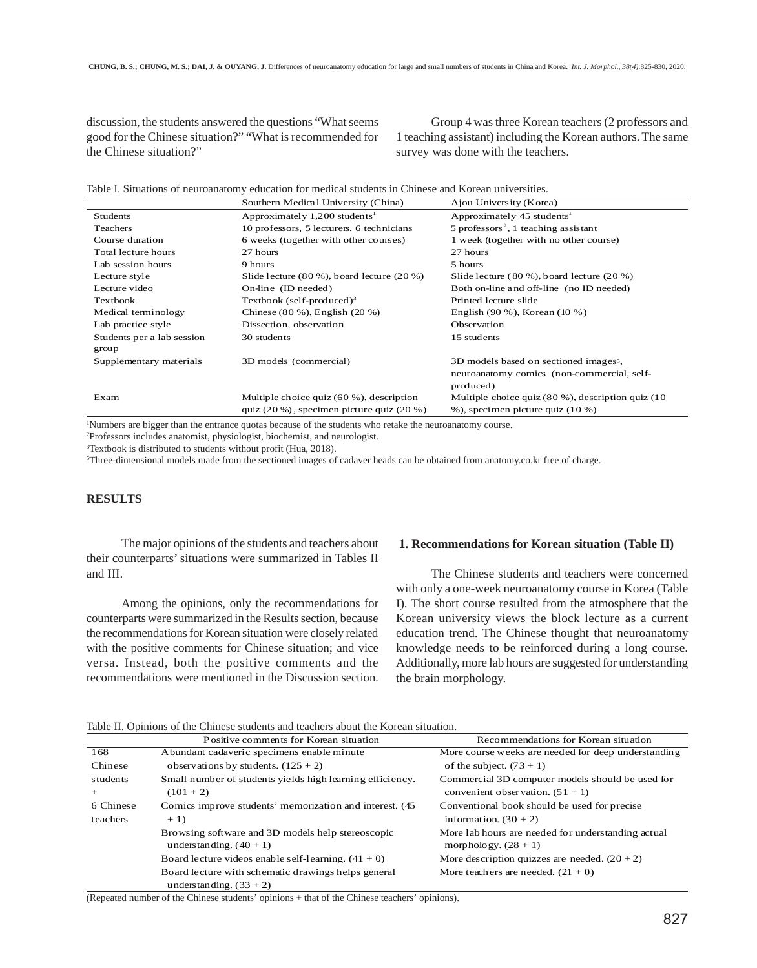discussion, the students answered the questions "What seems good for the Chinese situation?" "What is recommended for the Chinese situation?"

Group 4 was three Korean teachers (2 professors and 1 teaching assistant) including the Korean authors. The same survey was done with the teachers.

Table I. Situations of neuroanatomy education for medical students in Chinese and Korean universities.

|                            | Southern Medical University (China)            | Ajou University (Korea)                                |
|----------------------------|------------------------------------------------|--------------------------------------------------------|
| <b>Students</b>            | Approximately $1,200$ students <sup>1</sup>    | Approximately 45 students <sup>1</sup>                 |
| <b>Teachers</b>            | 10 professors, 5 lecturers, 6 technicians      | 5 professors <sup>2</sup> , 1 teaching assistant       |
| Course duration            | 6 weeks (together with other courses)          | 1 week (together with no other course)                 |
| Total lecture hours        | 27 hours                                       | 27 hours                                               |
| Lab session hours          | 9 hours                                        | 5 hours                                                |
| Lecture style              | Slide lecture (80 %), board lecture (20 %)     | Slide lecture $(80\%)$ , board lecture $(20\%)$        |
| Lecture video              | On-line (ID needed)                            | Both on-line and off-line (no ID needed)               |
| <b>Textbook</b>            | Textbook (self-produced) <sup>3</sup>          | Printed lecture slide                                  |
| Medical terminology        | Chinese $(80\%)$ , English $(20\%)$            | English $(90\%)$ , Korean $(10\%)$                     |
| Lab practice style         | Dissection, observation                        | Observation                                            |
| Students per a lab session | 30 students                                    | 15 students                                            |
| group                      |                                                |                                                        |
| Supplementary materials    | 3D models (commercial)                         | 3D models based on sectioned imagess,                  |
|                            |                                                | neuroanatomy comics (non-commercial, self-             |
|                            |                                                | produced)                                              |
| Exam                       | Multiple choice quiz $(60 \%)$ , description   | Multiple choice quiz $(80\%)$ , description quiz $(10$ |
|                            | quiz $(20\%)$ , specimen picture quiz $(20\%)$ | $\%$ ), specimen picture quiz (10 %)                   |

1 Numbers are bigger than the entrance quotas because of the students who retake the neuroanatomy course.

2 Professors includes anatomist, physiologist, biochemist, and neurologist.

3 Textbook is distributed to students without profit (Hua, 2018).

5 Three-dimensional models made from the sectioned images of cadaver heads can be obtained from anatomy.co.kr free of charge.

## **RESULTS**

The major opinions of the students and teachers about their counterparts' situations were summarized in Tables II and III.

Among the opinions, only the recommendations for counterparts were summarized in the Results section, because the recommendations for Korean situation were closely related with the positive comments for Chinese situation; and vice versa. Instead, both the positive comments and the recommendations were mentioned in the Discussion section.

#### **1. Recommendations for Korean situation (Table II)**

The Chinese students and teachers were concerned with only a one-week neuroanatomy course in Korea (Table I). The short course resulted from the atmosphere that the Korean university views the block lecture as a current education trend. The Chinese thought that neuroanatomy knowledge needs to be reinforced during a long course. Additionally, more lab hours are suggested for understanding the brain morphology.

Table II. Opinions of the Chinese students and teachers about the Korean situation.

|           | Positive comments for Korean situation                                           | Recommendations for Korean situation                                                   |
|-----------|----------------------------------------------------------------------------------|----------------------------------------------------------------------------------------|
| 168       | Abundant cadaveric specimens enable minute                                       | More course weeks are needed for deep understanding                                    |
| Chinese   | observations by students. $(125 + 2)$                                            | of the subject. $(73 + 1)$                                                             |
| students  | Small number of students yields high learning efficiency.<br>$(101 + 2)$         | Commercial 3D computer models should be used for<br>convenient observation. $(51 + 1)$ |
| 6 Chinese | Comics improve students' memorization and interest. (45)                         | Conventional book should be used for precise                                           |
| teachers  | $+1)$                                                                            | information. $(30 + 2)$                                                                |
|           | Browsing software and 3D models help stereoscopic<br>understanding. $(40 + 1)$   | More lab hours are needed for understanding actual<br>morphology. $(28 + 1)$           |
|           | Board lecture videos enable self-learning. $(41 + 0)$                            | More description quizzes are needed. $(20 + 2)$                                        |
|           | Board lecture with schematic drawings helps general<br>understanding. $(33 + 2)$ | More teachers are needed. $(21 + 0)$                                                   |

(Repeated number of the Chinese students' opinions + that of the Chinese teachers' opinions).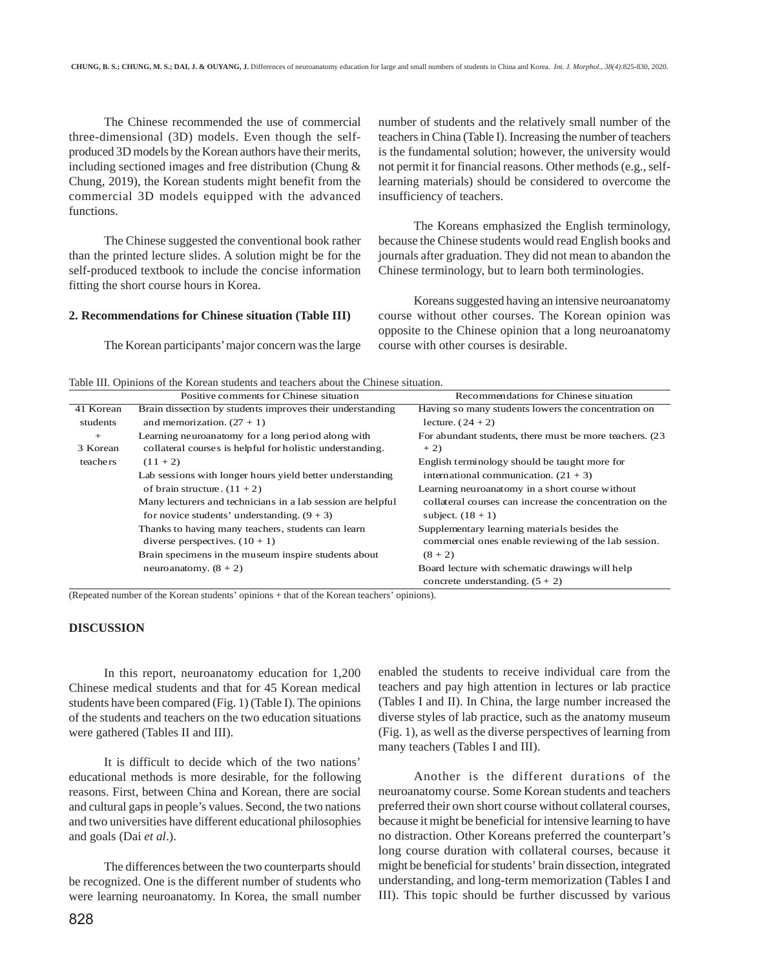The Chinese recommended the use of commercial three-dimensional (3D) models. Even though the selfproduced 3D models by the Korean authors have their merits, including sectioned images and free distribution (Chung & Chung, 2019), the Korean students might benefit from the commercial 3D models equipped with the advanced functions.

The Chinese suggested the conventional book rather than the printed lecture slides. A solution might be for the self-produced textbook to include the concise information fitting the short course hours in Korea.

#### **2. Recommendations for Chinese situation (Table III)**

The Korean participants' major concern was the large

number of students and the relatively small number of the teachers in China (Table I). Increasing the number of teachers is the fundamental solution; however, the university would not permit it for financial reasons. Other methods (e.g., selflearning materials) should be considered to overcome the insufficiency of teachers.

The Koreans emphasized the English terminology, because the Chinese students would read English books and journals after graduation. They did not mean to abandon the Chinese terminology, but to learn both terminologies.

Koreans suggested having an intensive neuroanatomy course without other courses. The Korean opinion was opposite to the Chinese opinion that a long neuroanatomy course with other courses is desirable.

Table III. Opinions of the Korean students and teachers about the Chinese situation.

|                 | Positive comments for Chinese situation                                                                         | Recommendations for Chinese situation                                                                |
|-----------------|-----------------------------------------------------------------------------------------------------------------|------------------------------------------------------------------------------------------------------|
| 41 Korean       | Brain dissection by students improves their understanding                                                       | Having so many students lowers the concentration on                                                  |
| students        | and memorization. $(27 + 1)$                                                                                    | lecture. $(24 + 2)$                                                                                  |
| $+$<br>3 Korean | Learning neuroanatomy for a long period along with<br>collateral courses is helpful for holistic understanding. | For abundant students, there must be more teachers. (23)<br>$+2)$                                    |
| teachers        | $(11 + 2)$                                                                                                      | English terminology should be taught more for                                                        |
|                 | Lab sessions with longer hours yield better understanding                                                       | international communication. $(21 + 3)$                                                              |
|                 | of brain structure. $(11 + 2)$                                                                                  | Learning neuroanatomy in a short course without                                                      |
|                 | Many lecturers and technicians in a lab session are helpful<br>for novice students' understanding. $(9 + 3)$    | collateral courses can increase the concentration on the<br>subject. $(18 + 1)$                      |
|                 | Thanks to having many teachers, students can learn<br>diverse perspectives. $(10 + 1)$                          | Supplementary learning materials besides the<br>commercial ones enable reviewing of the lab session. |
|                 | Brain specimens in the museum inspire students about                                                            | $(8 + 2)$                                                                                            |
|                 | neuroanatomy. $(8 + 2)$                                                                                         | Board lecture with schematic drawings will help<br>concrete understanding. $(5 + 2)$                 |

(Repeated number of the Korean students' opinions + that of the Korean teachers' opinions).

## **DISCUSSION**

In this report, neuroanatomy education for 1,200 Chinese medical students and that for 45 Korean medical students have been compared (Fig. 1) (Table I). The opinions of the students and teachers on the two education situations were gathered (Tables II and III).

It is difficult to decide which of the two nations' educational methods is more desirable, for the following reasons. First, between China and Korean, there are social and cultural gaps in people's values. Second, the two nations and two universities have different educational philosophies and goals (Dai *et al*.).

The differences between the two counterparts should be recognized. One is the different number of students who were learning neuroanatomy. In Korea, the small number enabled the students to receive individual care from the teachers and pay high attention in lectures or lab practice (Tables I and II). In China, the large number increased the diverse styles of lab practice, such as the anatomy museum (Fig. 1), as well as the diverse perspectives of learning from many teachers (Tables I and III).

Another is the different durations of the neuroanatomy course. Some Korean students and teachers preferred their own short course without collateral courses, because it might be beneficial for intensive learning to have no distraction. Other Koreans preferred the counterpart's long course duration with collateral courses, because it might be beneficial for students' brain dissection, integrated understanding, and long-term memorization (Tables I and III). This topic should be further discussed by various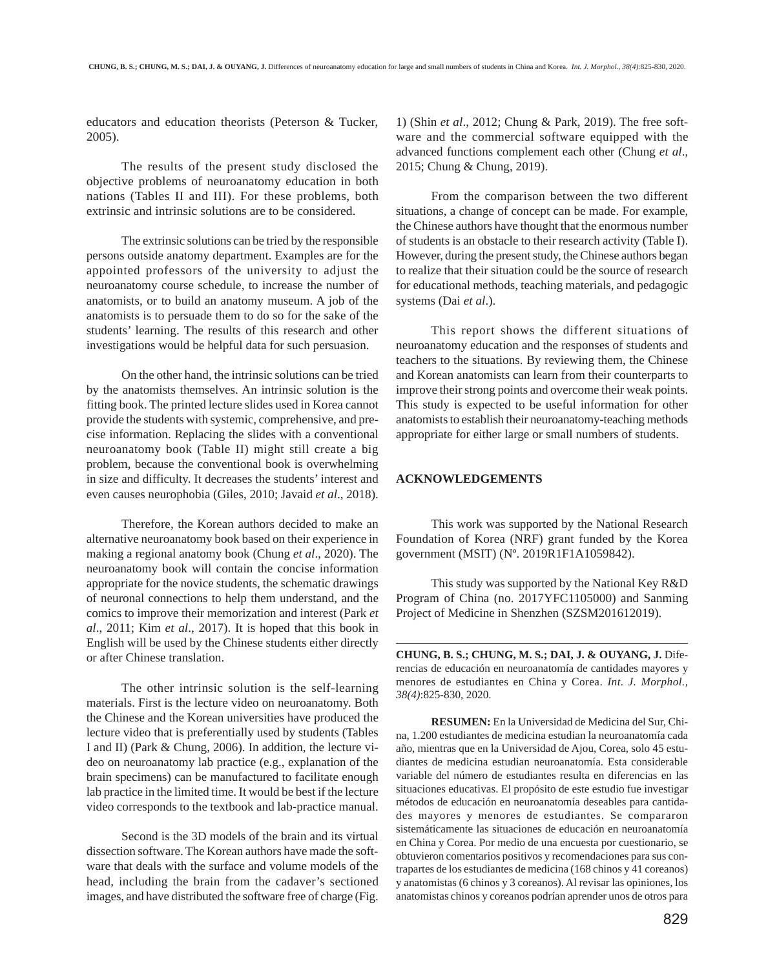educators and education theorists (Peterson & Tucker, 2005).

The results of the present study disclosed the objective problems of neuroanatomy education in both nations (Tables II and III). For these problems, both extrinsic and intrinsic solutions are to be considered.

The extrinsic solutions can be tried by the responsible persons outside anatomy department. Examples are for the appointed professors of the university to adjust the neuroanatomy course schedule, to increase the number of anatomists, or to build an anatomy museum. A job of the anatomists is to persuade them to do so for the sake of the students' learning. The results of this research and other investigations would be helpful data for such persuasion.

On the other hand, the intrinsic solutions can be tried by the anatomists themselves. An intrinsic solution is the fitting book. The printed lecture slides used in Korea cannot provide the students with systemic, comprehensive, and precise information. Replacing the slides with a conventional neuroanatomy book (Table II) might still create a big problem, because the conventional book is overwhelming in size and difficulty. It decreases the students' interest and even causes neurophobia (Giles, 2010; Javaid *et al*., 2018).

Therefore, the Korean authors decided to make an alternative neuroanatomy book based on their experience in making a regional anatomy book (Chung *et al*., 2020). The neuroanatomy book will contain the concise information appropriate for the novice students, the schematic drawings of neuronal connections to help them understand, and the comics to improve their memorization and interest (Park *et al*., 2011; Kim *et al*., 2017). It is hoped that this book in English will be used by the Chinese students either directly or after Chinese translation.

The other intrinsic solution is the self-learning materials. First is the lecture video on neuroanatomy. Both the Chinese and the Korean universities have produced the lecture video that is preferentially used by students (Tables I and II) (Park & Chung, 2006). In addition, the lecture video on neuroanatomy lab practice (e.g., explanation of the brain specimens) can be manufactured to facilitate enough lab practice in the limited time. It would be best if the lecture video corresponds to the textbook and lab-practice manual.

Second is the 3D models of the brain and its virtual dissection software. The Korean authors have made the software that deals with the surface and volume models of the head, including the brain from the cadaver's sectioned images, and have distributed the software free of charge (Fig.

1) (Shin *et al*., 2012; Chung & Park, 2019). The free software and the commercial software equipped with the advanced functions complement each other (Chung *et al*., 2015; Chung & Chung, 2019).

From the comparison between the two different situations, a change of concept can be made. For example, the Chinese authors have thought that the enormous number of students is an obstacle to their research activity (Table I). However, during the present study, the Chinese authors began to realize that their situation could be the source of research for educational methods, teaching materials, and pedagogic systems (Dai *et al*.).

This report shows the different situations of neuroanatomy education and the responses of students and teachers to the situations. By reviewing them, the Chinese and Korean anatomists can learn from their counterparts to improve their strong points and overcome their weak points. This study is expected to be useful information for other anatomists to establish their neuroanatomy-teaching methods appropriate for either large or small numbers of students.

## **ACKNOWLEDGEMENTS**

This work was supported by the National Research Foundation of Korea (NRF) grant funded by the Korea government (MSIT) (Nº. 2019R1F1A1059842).

This study was supported by the National Key R&D Program of China (no. 2017YFC1105000) and Sanming Project of Medicine in Shenzhen (SZSM201612019).

**CHUNG, B. S.; CHUNG, M. S.; DAI, J. & OUYANG, J.** Diferencias de educación en neuroanatomía de cantidades mayores y menores de estudiantes en China y Corea. *Int. J. Morphol., 38(4)*:825-830, 2020.

**RESUMEN:** En la Universidad de Medicina del Sur, China, 1.200 estudiantes de medicina estudian la neuroanatomía cada año, mientras que en la Universidad de Ajou, Corea, solo 45 estudiantes de medicina estudian neuroanatomía. Esta considerable variable del número de estudiantes resulta en diferencias en las situaciones educativas. El propósito de este estudio fue investigar métodos de educación en neuroanatomía deseables para cantidades mayores y menores de estudiantes. Se compararon sistemáticamente las situaciones de educación en neuroanatomía en China y Corea. Por medio de una encuesta por cuestionario, se obtuvieron comentarios positivos y recomendaciones para sus contrapartes de los estudiantes de medicina (168 chinos y 41 coreanos) y anatomistas (6 chinos y 3 coreanos). Al revisar las opiniones, los anatomistas chinos y coreanos podrían aprender unos de otros para